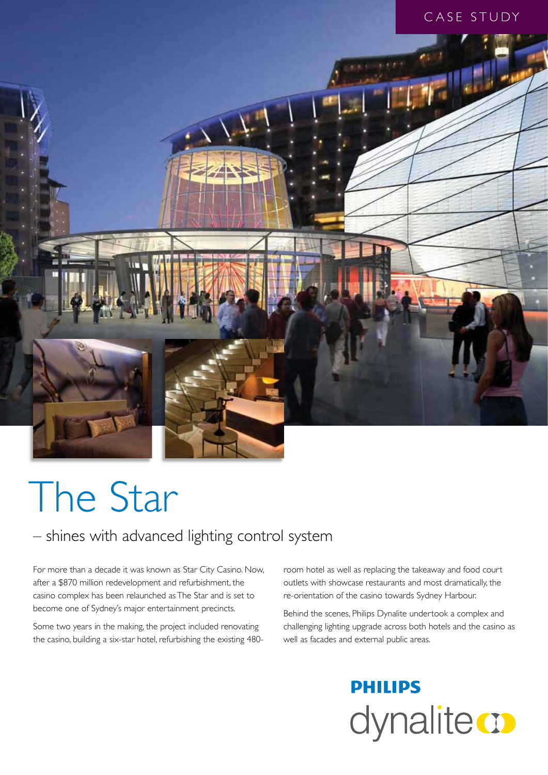#### CASE STUDY



# The Star

### – shines with advanced lighting control system

For more than a decade it was known as Star City Casino. Now, after a \$870 million redevelopment and refurbishment, the casino complex has been relaunched as The Star and is set to become one of Sydney's major entertainment precincts.

Some two years in the making, the project included renovating the casino, building a six-star hotel, refurbishing the existing 480room hotel as well as replacing the takeaway and food court outlets with showcase restaurants and most dramatically, the re-orientation of the casino towards Sydney Harbour.

Behind the scenes, Philips Dynalite undertook a complex and challenging lighting upgrade across both hotels and the casino as well as facades and external public areas.

# **PHILIPS** dynalite **o**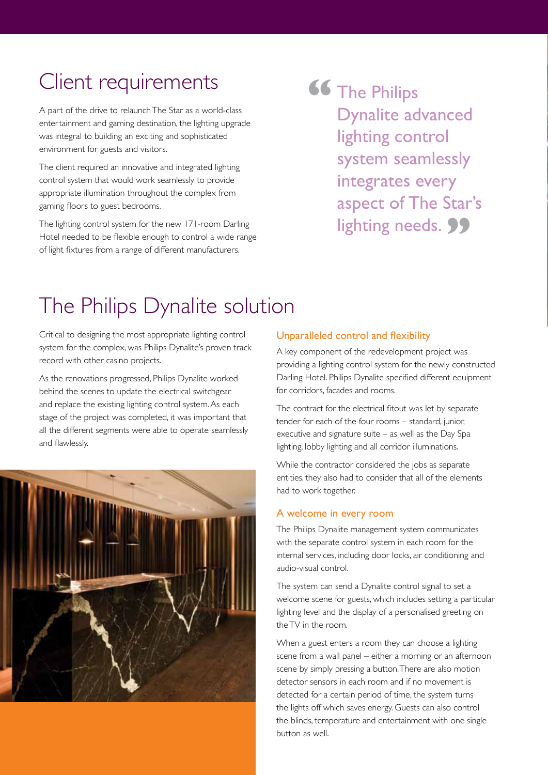# Client requirements

A part of the drive to relaunch The Star as a world-class entertainment and gaming destination, the lighting upgrade was integral to building an exciting and sophisticated environment for guests and visitors.

The client required an innovative and integrated lighting control system that would work seamlessly to provide appropriate illumination throughout the complex from gaming floors to guest bedrooms.

The lighting control system for the new 171-room Darling Hotel needed to be flexible enough to control a wide range of light fixtures from a range of different manufacturers.

The Philips Dynalite advanced lighting control system seamlessly integrates every aspect of The Star's lighting needs. 99 **"**

# The Philips Dynalite solution

Critical to designing the most appropriate lighting control system for the complex, was Philips Dynalite's proven track record with other casino projects.

As the renovations progressed, Philips Dynalite worked behind the scenes to update the electrical switchgear and replace the existing lighting control system. As each stage of the project was completed, it was important that all the different segments were able to operate seamlessly and flawlessly.



#### Unparalleled control and flexibility

A key component of the redevelopment project was providing a lighting control system for the newly constructed Darling Hotel. Philips Dynalite specified different equipment for corridors, facades and rooms.

The contract for the electrical fitout was let by separate tender for each of the four rooms – standard, junior, executive and signature suite – as well as the Day Spa lighting, lobby lighting and all corridor illuminations.

While the contractor considered the jobs as separate entities, they also had to consider that all of the elements had to work together.

#### A welcome in every room

The Philips Dynalite management system communicates with the separate control system in each room for the internal services, including door locks, air conditioning and audio-visual control.

The system can send a Dynalite control signal to set a welcome scene for guests, which includes setting a particular lighting level and the display of a personalised greeting on the TV in the room.

When a guest enters a room they can choose a lighting scene from a wall panel – either a morning or an afternoon scene by simply pressing a button. There are also motion detector sensors in each room and if no movement is detected for a certain period of time, the system turns the lights off which saves energy. Guests can also control the blinds, temperature and entertainment with one single button as well.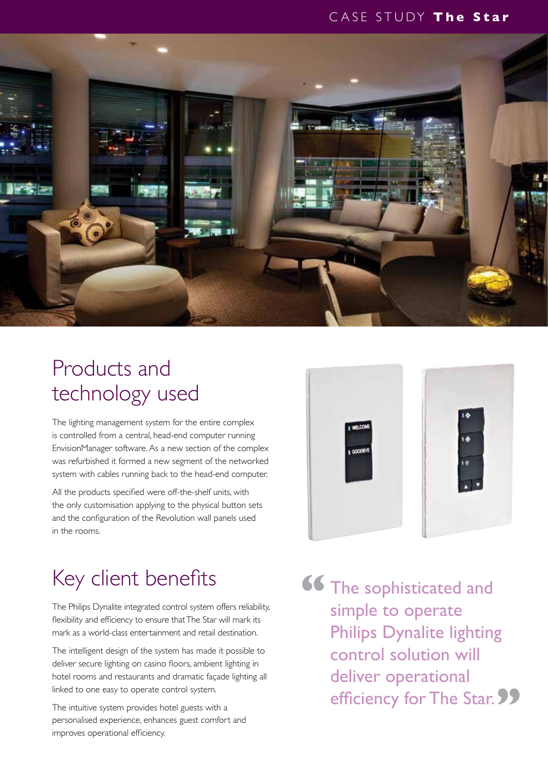#### CASE STUDY **The Star**



## Products and technology used

The lighting management system for the entire complex is controlled from a central, head-end computer running EnvisionManager software. As a new section of the complex was refurbished it formed a new segment of the networked system with cables running back to the head-end computer.

All the products specified were off-the-shelf units, with the only customisation applying to the physical button sets and the configuration of the Revolution wall panels used in the rooms.

# code

# Key client benefits

The Philips Dynalite integrated control system offers reliability, flexibility and efficiency to ensure that The Star will mark its mark as a world-class entertainment and retail destination.

The intelligent design of the system has made it possible to deliver secure lighting on casino floors, ambient lighting in hotel rooms and restaurants and dramatic façade lighting all linked to one easy to operate control system.

The intuitive system provides hotel guests with a personalised experience, enhances guest comfort and improves operational efficiency.

The sophisticated and simple to operate Philips Dynalite lighting control solution will deliver operational efficiency for The Star. **99 "**